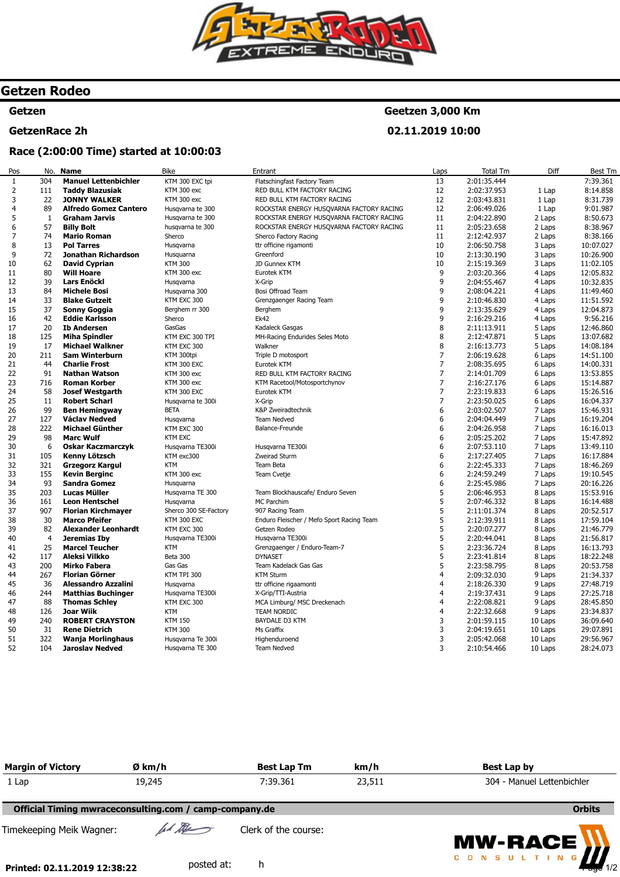

## **Getzen Rodeo**

### **Getzen**

#### **GetzenRace 2h**

### **Geetzen 3,000 Km**

**02.11.2019 10:00** 

### **Race (2:00:00 Time) started at 10:00:03**

| Pos            | No.            | <b>Name</b>                             | Bike                  | Entrant                                   | Laps           | Total Tm                   | Diff    | Best Tm   |
|----------------|----------------|-----------------------------------------|-----------------------|-------------------------------------------|----------------|----------------------------|---------|-----------|
| $\mathbf{1}$   | 304            | <b>Manuel Lettenbichler</b>             | KTM 300 EXC tpi       | Flatschingfast Factory Team               | 13             | 2:01:35.444                |         | 7:39.361  |
| $\overline{2}$ | 111            | <b>Taddy Blazusiak</b>                  | KTM 300 exc           | RED BULL KTM FACTORY RACING               | 12             | 2:02:37.953                | 1 Lap   | 8:14.858  |
| 3              | 22             | <b>JONNY WALKER</b>                     | KTM 300 exc           | RED BULL KTM FACTORY RACING               | 12             | 2:03:43.831                | 1 Lap   | 8:31.739  |
| 4              | 89             | <b>Alfredo Gomez Cantero</b>            | Husgvarna te 300      | ROCKSTAR ENERGY HUSQVARNA FACTORY RACING  | 12             | 2:06:49.026                | 1 Lap   | 9:01.987  |
| 5              | 1              | <b>Graham Jarvis</b>                    | Husqvarna te 300      | ROCKSTAR ENERGY HUSQVARNA FACTORY RACING  | 11             | 2:04:22.890                | 2 Laps  | 8:50.673  |
| 6              | 57             | <b>Billy Bolt</b>                       | husqvarna te 300      | ROCKSTAR ENERGY HUSQVARNA FACTORY RACING  | 11             | 2:05:23.658                | 2 Laps  | 8:38.967  |
| 7              | 74             | <b>Mario Roman</b>                      | Sherco                | Sherco Factory Racing                     | 11             | 2:12:42.937                | 2 Laps  | 8:38.166  |
| 8              | 13             | <b>Pol Tarres</b>                       | Husqvarna             | ttr officine rigamonti                    | 10             | 2:06:50.758                | 3 Laps  | 10:07.027 |
| 9              | 72             | Jonathan Richardson                     | Husquarna             | Greenford                                 | 10             | 2:13:30.190                | 3 Laps  | 10:26.900 |
| 10             | 62             | <b>David Cyprian</b>                    | <b>KTM 300</b>        | JD Gunnex KTM                             | 10             | 2:15:19.369                | 3 Laps  | 11:02.105 |
| 11             | 80             | <b>Will Hoare</b>                       | KTM 300 exc           | Eurotek KTM                               | 9              | 2:03:20.366                | 4 Laps  | 12:05.832 |
| 12             | 39             | <b>Lars Enöckl</b>                      | Husgvarna             | X-Grip                                    | 9              | 2:04:55.467                | 4 Laps  | 10:32.835 |
| 13             | 84             | <b>Michele Bosi</b>                     | Husqvarna 300         | Bosi Offroad Team                         | 9              | 2:08:04.221                | 4 Laps  | 11:49.460 |
| 14             | 33             | <b>Blake Gutzeit</b>                    | KTM EXC 300           | Grenzgaenger Racing Team                  | 9              | 2:10:46.830                | 4 Laps  | 11:51.592 |
| 15             | 37             | Sonny Goggia                            | Berghem rr 300        | Berghem                                   | 9              | 2:13:35.629                | 4 Laps  | 12:04.873 |
| 16             | 42             | <b>Eddie Karlsson</b>                   | Sherco                | <b>Ek42</b>                               | 9              | 2:16:29.216                | 4 Laps  | 9:56.216  |
| 17             | 20             | <b>Ib Andersen</b>                      | GasGas                | Kadaleck Gasgas                           | 8              | 2:11:13.911                | 5 Laps  | 12:46.860 |
| 18             | 125            | <b>Miha Spindler</b>                    | KTM EXC 300 TPI       | MH-Racing Endurides Seles Moto            | 8              | 2:12:47.871                | 5 Laps  | 13:07.682 |
| 19             | 17             | <b>Michael Walkner</b>                  | KTM EXC 300           | Walkner                                   | 8              | 2:16:13.773                | 5 Laps  | 14:08.184 |
| 20             | 211            | <b>Sam Winterburn</b>                   | KTM 300tpi            | Triple D motosport                        | $\overline{7}$ | 2:06:19.628                | 6 Laps  | 14:51.100 |
| 21             | 44             | <b>Charlie Frost</b>                    | KTM 300 EXC           | Eurotek KTM                               | 7              | 2:08:35.695                | 6 Laps  | 14:00.331 |
| 22             | 91             | <b>Nathan Watson</b>                    | KTM 300 exc           | RED BULL KTM FACTORY RACING               | $\overline{7}$ | 2:14:01.709                | 6 Laps  | 13:53.855 |
| 23             | 716            | <b>Roman Korber</b>                     | KTM 300 exc           | KTM Racetool/Motosportchynov              | $\overline{7}$ | 2:16:27.176                | 6 Laps  | 15:14.887 |
| 24             | 58             | <b>Josef Westgarth</b>                  | KTM 300 EXC           | Eurotek KTM                               | $\overline{7}$ |                            |         | 15:26.516 |
| 25             | 11             | <b>Robert Scharl</b>                    |                       | X-Grip                                    | $\overline{7}$ | 2:23:19.833<br>2:23:50.025 | 6 Laps  | 16:04.337 |
| 26             | 99             | <b>Ben Hemingway</b>                    | Husqvarna te 300i     | K&P Zweiradtechnik                        | 6              | 2:03:02.507                | 6 Laps  | 15:46.931 |
|                |                |                                         | <b>BETA</b>           |                                           |                |                            | 7 Laps  |           |
| 27<br>28       | 127<br>222     | Václav Nedved<br><b>Michael Günther</b> | Husqvarna             | <b>Team Nedved</b>                        | 6              | 2:04:04.449                | 7 Laps  | 16:19.204 |
|                |                |                                         | KTM EXC 300           | Balance-Freunde                           | 6              | 2:04:26.958                | 7 Laps  | 16:16.013 |
| 29             | 98             | <b>Marc Wulf</b>                        | <b>KTM EXC</b>        |                                           | 6              | 2:05:25.202                | 7 Laps  | 15:47.892 |
| 30             | 6              | <b>Oskar Kaczmarczyk</b>                | Husqvarna TE300i      | Husqvarna TE300i                          | 6              | 2:07:53.110                | 7 Laps  | 13:49.110 |
| 31             | 105            | Kenny Lötzsch                           | KTM exc300            | Zweirad Sturm                             | 6              | 2:17:27.405                | 7 Laps  | 16:17.884 |
| 32             | 321            | <b>Grzegorz Kargul</b>                  | <b>KTM</b>            | Team Beta                                 | 6              | 2:22:45.333                | 7 Laps  | 18:46.269 |
| 33             | 155            | <b>Kevin Berginc</b>                    | KTM 300 exc           | Team Cvetje                               | 6              | 2:24:59.249                | 7 Laps  | 19:10.545 |
| 34             | 93             | <b>Sandra Gomez</b>                     | Husquarna             |                                           | 6              | 2:25:45.986                | 7 Laps  | 20:16.226 |
| 35             | 203            | Lucas Müller                            | Husqvarna TE 300      | Team Blockhauscafe/ Enduro Seven          | 5              | 2:06:46.953                | 8 Laps  | 15:53.916 |
| 36             | 161            | <b>Leon Hentschel</b>                   | Husqvarna             | <b>MC Parchim</b>                         | 5              | 2:07:46.332                | 8 Laps  | 16:14.488 |
| 37             | 907            | <b>Florian Kirchmayer</b>               | Sherco 300 SE-Factory | 907 Racing Team                           | 5              | 2:11:01.374                | 8 Laps  | 20:52.517 |
| 38             | 30             | <b>Marco Pfeifer</b>                    | KTM 300 EXC           | Enduro Fleischer / Mefo Sport Racing Team | 5              | 2:12:39.911                | 8 Laps  | 17:59.104 |
| 39             | 82             | <b>Alexander Leonhardt</b>              | KTM EXC 300           | Getzen Rodeo                              | 5              | 2:20:07.277                | 8 Laps  | 21:46.779 |
| 40             | $\overline{4}$ | Jeremias Ibv                            | Husqvarna TE300i      | Husgvarna TE300i                          | 5              | 2:20:44.041                | 8 Laps  | 21:56.817 |
| 41             | 25             | <b>Marcel Teucher</b>                   | <b>KTM</b>            | Grenzgaenger / Enduro-Team-7              | 5              | 2:23:36.724                | 8 Laps  | 16:13.793 |
| 42             | 117            | Aleksi Vilkko                           | Beta 300              | <b>DYNASET</b>                            | 5              | 2:23:41.814                | 8 Laps  | 18:22.248 |
| 43             | 200            | <b>Mirko Fabera</b>                     | Gas Gas               | Team Kadelack Gas Gas                     | 5              | 2:23:58.795                | 8 Laps  | 20:53.758 |
| 44             | 267            | <b>Florian Görner</b>                   | KTM TPI 300           | <b>KTM Sturm</b>                          | 4              | 2:09:32.030                | 9 Laps  | 21:34.337 |
| 45             | 36             | <b>Alessandro Azzalini</b>              | Husqvarna             | ttr officine rigaamonti                   | 4              | 2:18:26.330                | 9 Laps  | 27:48.719 |
| 46             | 244            | <b>Matthias Buchinger</b>               | Husqvarna TE300i      | X-Grip/TTI-Austria                        | 4              | 2:19:37.431                | 9 Laps  | 27:25.718 |
| 47             | 88             | <b>Thomas Schley</b>                    | KTM EXC 300           | MCA Limburg/ MSC Dreckenach               | 4              | 2:22:08.821                | 9 Laps  | 28:45.850 |
| 48             | 126            | <b>Joar Wiik</b>                        | <b>KTM</b>            | TEAM NORDIC                               | 4              | 2:22:32.668                | 9 Laps  | 23:34.837 |
| 49             | 240            | <b>ROBERT CRAYSTON</b>                  | <b>KTM 150</b>        | BAYDALE D3 KTM                            | 3              | 2:01:59.115                | 10 Laps | 36:09.640 |
| 50             | 31             | <b>Rene Dietrich</b>                    | <b>KTM 300</b>        | Ms Graffix                                | 3              | 2:04:19.651                | 10 Laps | 29:07.891 |
| 51             | 322            | <b>Wanja Morlinghaus</b>                | Husgvarna Te 300i     | Highenduroend                             | 3              | 2:05:42.068                | 10 Laps | 29:56.967 |
| 52             | 104            | <b>Jaroslav Nedved</b>                  | Husgvarna TE 300      | <b>Team Nedved</b>                        | 3              | 2:10:54.466                | 10 Laps | 28:24.073 |